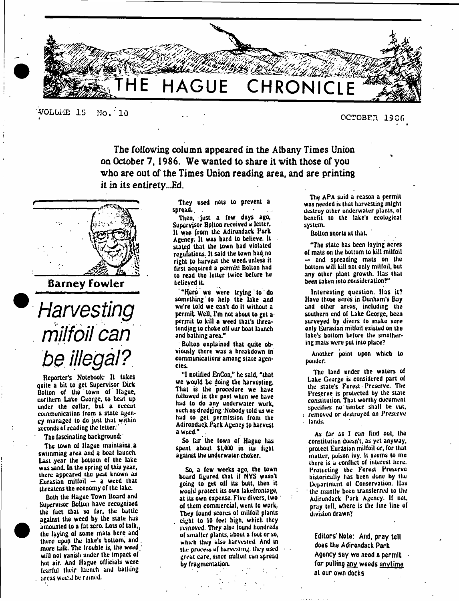

**■VOLUME IS No. ' 10**

### **OCTOBER 19C6**

The following column appeared in the Albany Times Union on October 7, 1986. We wanted to share it with those of you who are out of the Times Union reading area, and are printing it in its entirety...Ed.



Barney Fowler



Reporter's Notebook: It takes quite a bit to get Supervisor Dick Bolton of the town of Hague, uurlhem Lake George, to heat up under the collar, but a recent communication from a state agency managed to do just that within seconds of reading the letter:

The fascinating background:'

The town of Hague maintains, a swimming area and a boat launch. Last year the bottom of the lake was sand. In the spring of this year, there appeared the pest known as Eurasian milfoil — a weed that threatens the economy of the lake.

Both the Hague Town Board and Supervisor Bolton have recognized the fact that so far, the battle against the weed by the state has amounted to a (at zero. Lots of talk., the laying of some mats here and there upop the lake's bottom, and . more talk. The trouble is, the weed, will not vanish under the impact of hot air. And Hague officials were fearful their launch and bathing areas would be ruined.

<sup>•</sup>

They used nets to prevent a spread,.

Then, just a few days ago, Supervisor Bolton received a letter. It was from the Adirondack Park Agency. It was hard to believe. It stated that the town had violated regulations. It said the town had, no right to harvest the weed, unless it first acquired a permit! Bolton bad to read the letter twice befure he believed it.

"Here we were trying to do something to help the lake and we're told we can't do it without a permit. Well, I'm not about to get a permit to kill a weed that's threatending to choke off uur boat launch and bathing area."

Bolton explained that quite obviously there was a breakdown in communications among state agencies.

"I notified EnCon," he said, "that we would be doing the harvesting. That is the procedure we have followed in the past when we have had to do any underwater work, such as dredging. Nobody told us we had to get permission from the Adirondack Park Agency to harvest a weed."

So far the town of Hague has spent about \$1,000 in its fight against the underwater choker.

So, a few weeks ago, the town board figured that if NYS wasn't going to get off its butt, then it would protect its own lakefrontage, at its own expense. Five divers, two of them commercial, went to work. They found scores of milfoil plants eight to 10 (cel high, which they removed. They also found hundreds of sm aller plants, about a foot or so, which they alsu harvested. And in the process uf harvesting, they used great care, since milloil can spread by fragmentation.

The APA said a reason a permit was needed is that harvesting might destroy other underwater plants, of benefit to the lake's ecological system.

Bolton snorts at thaL '

"The stale has been laying acres of mats on the bottom to kill milfoil and spreading mats on the bottom will kill not only miHoil, but any other plant growth. Has that been taken into consideration?"

Interesting question. Has it? Have those acres in Dunham's Bay and other areas, including the southern end of Lake George, been surveyed by divers to make sure only Eurasian milfoil existed on the lake's bottom before the smothering mats were put into place?

Another point upon which to ponder:

The land under the waters of Lake Ccurge is considered part of the state's Forest Preserve. The Preserve is protected by the slate constitution. That worthy document specifies no timber shall be cut, : removed or destroyed on Preserve . lands.

As far as I can find out, ihc constitution doesn't, as yet anyway, protect Eurasian milfoil or, for that matter, poison ivy. It seems to me there is a conflict of interest here. Protecting the Forest Preserve historically has been done by the Department ol Conservation, lias ' the mantle been transferred to the Adirondack Park Agency. If not. pray tell, where is the fine line of division drawn?

Editors' Note: And, pray tell does the Adirondack Park Agency say we need a permit for pulling any weeds anytime at our own docks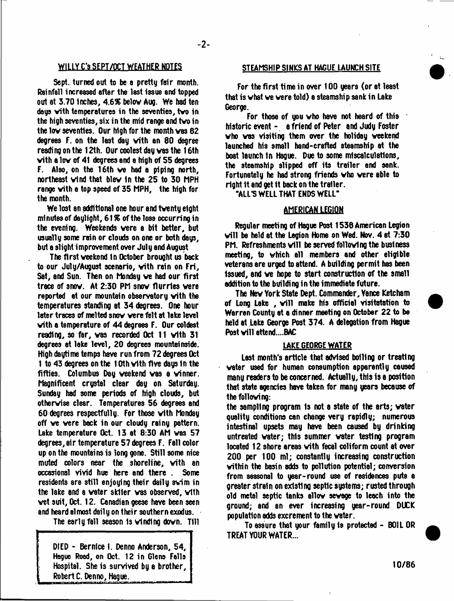# WILLY C'S SEPT/OCT WEATHER NOTES STEAMSHIP SINKS AT HAGUE LAUNCH SITE

Sept. turned out to be e pretty fair month. Rainfall increased after the last issue and topped out at 3.70 inches, 4.6% below Aug. We had ten days vith temperatures in the seventies, tvo in the high seventies, six in the mid range and tvo in the lov seventies. Our high for the month vas 62 degrees F. on the last day vith an 80 degree reading on the 12th. Our coolest day was the 16th vith a lov of 41 degrees and a high of 55 degrees F. Also, on the 16th ve had a piping north, northeast vind that blev In the 25 to 30 MPH range vith a top speed of 35 MPH, the high for the month.

We lost an additional one hour and tventy eight minutes of daylight, 61% of the loss occurring in the evening. Weekends vere a bit better, but usually some rain or clouds on one or both days, but a slight improvement over July and August

The first veekend in October brought us back to our July/August scenario, with rain on Fri, Sat, and Sun. Then on Monday ve had our first trace of snov. At 2:30 PM snov flurries vere reported at our mountain observatory with the temperatures standing at 34 degrees. One hour later traces of melted snov vere felt at lake level vith a temperature of 44 degrees F. Our coldest reading, so far, vas recorded Oct 11 vith 31 degrees at lake level, 20 degrees mountainside. High daytime temps have run from 72 degrees Oct 1 to 43 degrees on the 10th vith five days In the fifties. Columbus Day veekend vas a vinner. Magnificent crystal clear day on Saturday. Sunday had some periods of high clouds, but othervise clear. Temperatures 56 degrees and 60 degrees respectfully. For those vith Monday off ve vere back in our cloudy rainy pattern. Lake temperature Oct. 13 at 8:30 AM vas 57 degrees, air temperature 57 degrees F. Fall color up on the mountains is long gone. Still some nice muted colors nesr the shoreline, vith an occasional vivid hue here and there . Some residents are still enjoying their daily swim in the lake and a water skiier was observed, with vet suit, Oct. 12. Canadian geese hove been seen and heard almost daily on their southern exodus.

The early fall season Is vlndlng dovn. Till

DIED - Bernice I. Denno Anderson, 54. Hague Road, on Oct. 12 in Glens Falls Hospital. She is survived by a brother, Robert C. Penno, Hague.

For the first time in over 100 years (or at least that is vhat ve vere told) a steamship sank in Lake George.

For those of you  $\forall$  ho have not heard of this historic event - a friend of Peter and Judy Foster vho vas visiting them over the holiday veekend launched his small hand-crafted steamship at the boat launch In Hague. Due to some miscalculations, the steamship slipped off its trailer and sank. Fortunately he had strong friends vho vere able to right it and get It back on the trailer.

"ALL'S WELL THAT ENDS WELL"

#### AMERICAN LEGION

Regular meeting of Hague Post 1536 American Legion will be held at the Legion Home on Wed. Nov. 4 at 7:30 PM. Refreshments will be served following the business meeting, to vhich all members and other eligible veterans are urged to attend. A building permit has been Issued, and ve hope to start construction of the small addition to the building in the immediate future.

The Nev York State Dept. Commander, Yance Ketcham of Long Lake, will make his official visitatation to Warren County at a dinner meeting on October 22 to be held at Lake George Post 374. A delegation from Hague Post will attend....BAC

#### LAKE GEORGE WATER

Last month's article that advised boiling or treating vater used for human consumption apparently caused many readers to be concerned. Actually, this is a position that state agencies have taken for many years because of the following:

the sampling program Is not a state of the arts; vater quality conditions can change very rapidly; numerous intestinal upsets may have been caused by drinking untreated vater; this summer vater testing program located 12 shore areas vith fecal coliform count at over 200 per 100 ml; constantly increasing construction vithin the basin adds to pollution potential; conversion from seasonal to year-round use of residences puts a greater strain on existing septic systems; rusted through old metal septic tanks allow sevage to leach into the ground; and an ever increasing year-round DUCK population 8dds excrement to the vater.

To assure that your family is protected - BOIL OR TREAT YOUR WATER...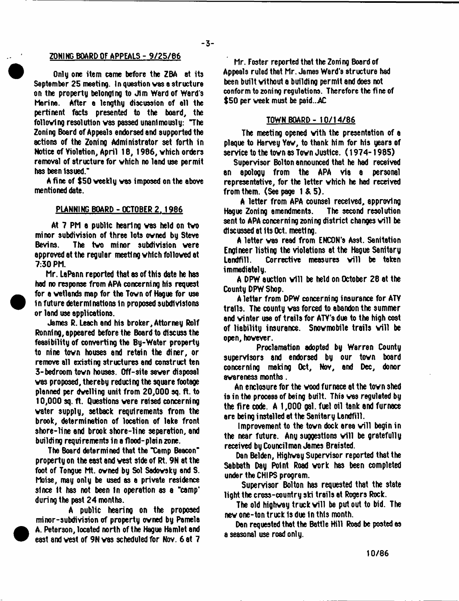#### Z0N1HG BOARD OF APPEALS - 9/25/86

Only one item come before the ZBA at its September 25 meeting. In question vas a structure on the property belonging to Jim Ward of Ward s Merino. After e lengthy discussion of ell the pertinent facts presented to the board, the follovlng resolution vas passed unanimously: "The Zoning Board of Appeals endorsed and supported the actions of the Zoning Administrator set forth in Notice of Violation, April 18, 1986, vhich orders removal of structure for vhich no land use permit has been Issued.\*

A fine of \$50 veekly vas imposed on the above mentioned date.

### PLANNING BOARD - OCTOBER 2. 1986

At 7 PM a public hearing vas held on tvo minor subdivision of three lots ovned by Steve Bevins. The tvo minor subdivision vere approved at the regular meeting vhich folloved at 7:30 PM.

Mr. LaPann reported that as of this date he hss had no response from APA concerning his request for a vetlands map for the Tovn of Hague for use In future determinations In proposed subdivisions or land use applications.

James P. Leach and his broker. Attorney Rolf Ronnlng, appeared before the Board to discuss the feasibility of converting the By-Water property to nine tovn houses and retain the diner, or remove all existing structures and construct ten 3-bedroom tovn houses. Off-site sever disposal vas proposed, thereby reducing the square footsge planned per dvelling unit from 20,000 sq. ft. to 10,000 sq. ft. Questions vere raised concerning vater supply, setback requirements from the brook, determination of location of lake front shore-line and brook shore-line separation, and building requirements in a flood-plain zone.

The Board determined that the "Camp Beacon" property on the east and vest side of Rt. 9N at the foot of Tongue Mt. ovned by Sol Sadovsky and S. Moise, may only be used as a private residence since it has not been in operation as a "camp" during the past 24 months.

A public hearing on the proposed minor-subdivision of property ovned by Pamela A. Peterson, located north of the Hague Hamlet and east and vest of 9N vas scheduled for Nov. 6 at 7

Mr. Foster reported that the Zoning Board of Appeals ruled that Mr. James Ward's structure had been built without a building permit and does not conform to zoning regulations. Therefore the fine of \$50 per week must be paid...AC

## TOWN BOARD - 10/14/86

The meeting opened vith the presentation of a plaque to Harvey Yav, to thank him for his years of service to the town as Town Justice. (1974-1985)

Supervisor Bolton announced that he had received an apology from the APA via a personal representative, for the letter vhich he had received from them. (See page 1 & 5).

A letter from APA counsel received, approving Hague Zoning amendments. The second resolution sent to APA concerning zoning district changes will be discussed at Its Oct. meeting.

A letter vas read from ENCON's Asst. Sanitation Engineer listing the violations at the Hague Sanitary Landfill. Corrective measures will be taken immediately.

A DPW auction will be held on October 28 at the County DPW Shop.

A letter from DPW concerning insurance for ATY trails. The county vas forced to abandon the summer and vinter use of trails for ATY's due to the high cost of liability insurance. Snowmobile trails will be open, hovever.

Proclamation adopted by Warren County supervisors and endorsed by our town board concerning making Oct, Nov, and Dec, donor avareness months.

An enclosure for the vood furnace at the tovn shed is in the process of being built. This ves reguleted by the fire code. A 1,000 gal. fuel oil tank and furnace are being installed at the Sanitary Landfill.

Improvement to the town dock area will begin in the near future. Any suggestions will be gratefully received by Councilman James Braisted.

Dan Belden, Highvay Supervisor reported that the Sabbath Day Point Road vork has been completed under the CHIPS program.

Supervisor Bolton has requested that the state light the cross-country ski trails at Rogers Rock.

The old highway truck will be put out to bid. The nev one-ton truck Is due In this month.

Dan requested that the Battle Hill Road be posted as a seasonal use road only.

10/86

 $-3-$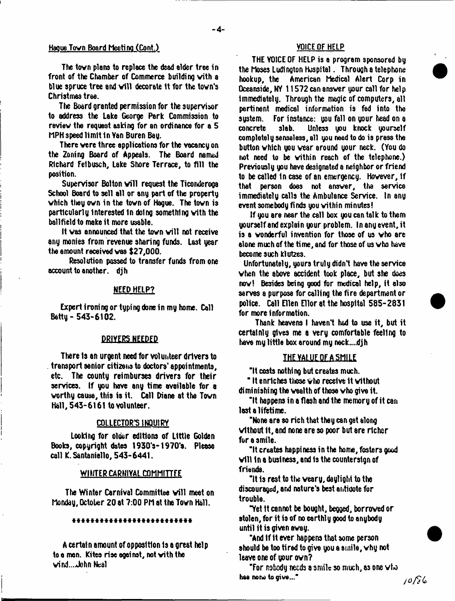# Hague Tovn Board Meeting (Cont.) VOICE OF HELP

The town plans to replace the dead alder tree in front of the Chamber of Commerce building vith a blue spruce tree and will decorate it for the town's Christmas tree.

The Board granted permission for the supervisor to address the Lake George Park Commission to review the request asking for an ordinance for a 5 MPH speed limit In Van Buren Bay.

There vere three applications for the vacancy on the Zoning Board of Appeals. The Board named Richard Felbusch, Lake Shore Terrace, to fill the position.

Supervisor Bolton will request the Ticonderoga School Board to sell all or any part of the property vhich they own in the tovn of Hague. The tovn is particularly Interested In doing something vith the ballfield to make it more usable.

It was announced that the town will not receive any monies from revenue sharing funds. Last year the amount received vas \$27,000.

Resolution passed to transfer funds from one account to another, dih

#### NEED HELP?

Expert iromng or typing done in my home. Call Betty - 543-6102.

#### DRIVERS NEEDED

There Is an urgent need for volunteer drivers to transport senior citizens to doctors' appointments, etc. The county reimburses drivers for their services. If you have any time available for a worthy causa, this is it. Call Diane at the Tovn Hall, 543-6161 to volunteer.

### COLLECTOR'S INQUIRY

Looking for older editions of Little Golden Books, copyright dates 1930's-1970's. Please call K.Santaniello, 543-6441.

#### WINTER CARNIVAL COMMITTEE

The Winter Carnival Committee will meet on Monday, October 20 at 7:00 PM at the Tovn Hall.

#### \*\*\*\*\*\*\*\*\*\*\*\*\*\*\*\*\*\*\*\*\*\*\*\*\*\*

A certain amount of opposition 1s a great help to a men. Kites rise against, not vith the  $wind...$ John Neal

THE VOICE OF HELP is a program sponsored by the Moses Ludington Huspital. Through a telephone hookup, the American Medical Alert Corp in Oceanside, NY 11572 can answer your call for help immediately. Through the magic of computers, all pertinent medical information is fed into the system. For instance: you fall on your head on a<br>concrete slab. Unless you knock yourself Unless you knock yourself completely senseless, all you need to do is press the button vhich you wear around your neck. (You do not need to be vithin reach of the telephone.) Previously you have designated a neighbor or friend to be called In case of an emergency. However, If that person does not answer, tha service immediately calls the Ambulance Service. In any event somebody finds you vithin minutes!

If you are near the call box you can talk to them yourself and explain your problem. In any event, it is a wonderful invention for those of us vho are alone much of the time, and for those of us vho have become such klutzes.

Unfortunately, yours truly didn't have the service when the above accident took place, but she does now! Besides being good for medical help, it also serves a purpose for calling the fire department or police. Call Ellen Ellor at the hospital 585-2831 for more information.

Thank heavens I haven't had to use it, but it certainly gives me a very comfortable feeling to have my little box around my neck....djh

#### **THE YALUE OF A SMILE**

"It costs nothing but creates much.

" It enriches those who receive it without diminishing the wealth of those vho give it.

"It happens in a flash and the memory of it can last a lifetime.

"None are so rich that they can get along vithout it, and none are so poor but are richer for a smile.

"It creates happiness in the home, fosters good will in a business, and is the countersign of frianda.

"It is rest to the veary, daylight to the discouraged, and nature's best antidote for trouble.

"Yet it cannot be bought, begged, borrowed or stolen, for it is of no earthly good to anybody until it is given avay.

"And If It ever happens that some person should be too tired to give you a smile, why not leave one of your own?

"For nobody needs a smile so much, as one vho here no no to give..."<br>  $\frac{1}{2}$  to  $\frac{1}{2}$  to  $\frac{1}{2}$  to  $\frac{1}{2}$  to  $\frac{1}{2}$  to  $\frac{1}{2}$  to  $\frac{1}{2}$  to  $\frac{1}{2}$  to  $\frac{1}{2}$  to  $\frac{1}{2}$  to  $\frac{1}{2}$  to  $\frac{1}{2}$  to  $\frac{1}{2}$  to  $\frac{1}{2}$  to  $\frac{1}{2}$  to  $\$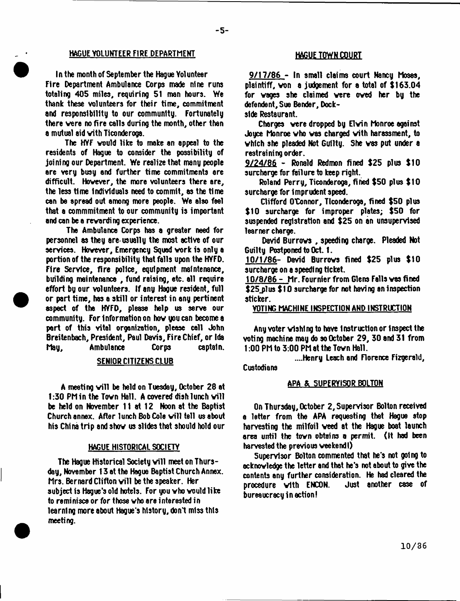# **HAGUE YOLUNTEER FIRE DEPARTMENT HAGUE TOWN COURT**

In the month of September the Hague Volunteer Fire Department Ambulance Corps made nine runs totaling 405 miles, requiring 51 man hours. We thank these volunteers for their time, commitment and responsibility to our community. Fortunately there vere no fire calls during the month, other then a mutual aid vith Ticonderoga.

The HYF vould like to make an appeal to the residents of Hague to consider the possibility of joining our Department. We realize that many people are very busy and further time commitments are difficult. Hovever, the more volunteers there are, the less time individuals need to commit, as the time can be spread out among more people. We also feel that a commmitment to our community is important and can be a revarding experience.

The Ambulance Corps has a greater need for personnel as they are-usually the most active of our services. Hovever, Emergency Squad vork is only a portion of the responsibility that falls upon the HVFD. Fire Service, fire police, equipment maintenance, building maintenance , fund raising, etc. all require effort by our volunteers. If any Hague resident, full or part time, has a skill or interest in any pertinent aspect of tha HVFD, please help us serve our community. For Information on hovyoucan become a pert of this vital organization, please call John Breitenbach, President, Paul Davis, Fire Chief, or Ids May, Ambulance Corps captain.

#### SENIOR CITIZENS CLUB

A meeting will be held on Tuesday, October 28 at 1:30 PM in the Town Hall. A covered dish lunch will be held on November 11 at 12 Noon at the Baptist Church annex. After lunch Bob Cole will tell us about his China trip and shov us slides that should hold our

#### HAGUE HISTORICAL SOCIETY

The Hague Historical Society will meet on Thursday, November 13 at the Hague Baptist Church Annex. Mrs. Bernard Clifton will be the speaker. Her subject is Hague's old hotels. For you vho vould like to reminisce or for those vho are interested in learning more about Hague's history, don't miss this meeting.

9/17/86 - In small claims court Nancy Moses, plaintiff, von a judgement for a total of SI63.04 for vages she claimed vere oved her by the defendant. Sue Bender, Dock-

side Restaurant.

-5-

Charges vere dropped by Elvin Monroe against Joyce Monroe vho vas charged vith harassment, to vhich she pleaded Not Guilty. She vas put under a restraining order.

9/24/86 - Ronald Redmon fined \$25 plus \$10 surcharge for failure to keep right.

Roland Perry, Ticonderoga, fined \$50 plus \$10 surcharge for imprudent speed.

Clifford O'Connor, Ticonderoga, fined \$50 plus \$10 surcharge for improper plates; \$50 for suspended registration and \$25 on an unsupervised learner charge.

David Burrovs , speeding charge. Pleaded Not Guilty Postponed to Oct. 1.

10/1/86- David Burrovs fined \$25 plus \$10 surcharge on a speeding ticket.

10/8/86- Mr. Fournier from Glens Falls vas fined \$ 25 plus \$ 10 surcharge for not having an inspection sticker.

VOTING MACHINE INSPECTION AND INSTRUCTION

Any voter vlshlng to have Instruction or Inspect the voting machine may do so October 29, 30 and 31 from 1:00 PM to 3:00 PM at the Tovn Hall.

....Henry Leach and Florence Fizgerald, Custodians

### APA & SUPERVISOR BOLTON

On Thursday, October 2, Supervisor Bolton received a letter from the APA requesting that Hague stop harvesting the milfoil veed at the Hague boat launch area until the tovn obtains a permit. (It had been harvested the previous veekend I)

Supervisor Bolton commented that he's not going to ocknovledge the letter and that he's not about to give the contents any further consideration. He had cleared the  $procedure$  with  $ENCDN$ . bureaucracy in action!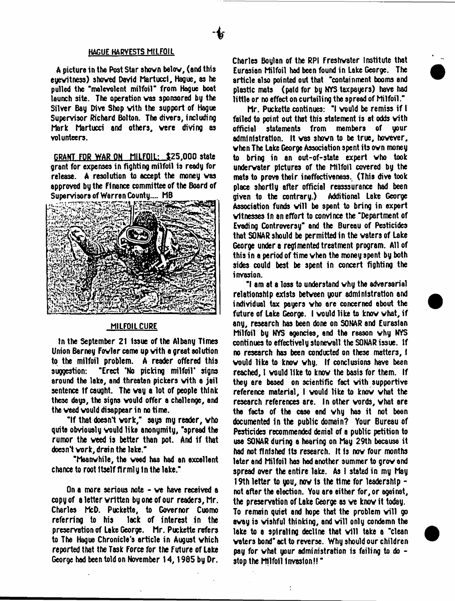#### **HAGUE HARVESTS MILFOIL**

A picture in the Post Star ahovn belov, (and this euewitness) showed David Martucci, Hague, as he pulled the 'malevolent milfoil" from Hague boat launch site. The operation vas sponsored by the Silver Bay Dive Shop vith the support of Hague Supervisor Richard Bolton. The divers, including Mark Martucci and others, vere diving as volunteers.

GRANT FOR WAR ON MILFOIL: \$25.000 state grant for expenses in fighting milfoil is ready for release. A resolution to accept the money vas approved by the Finance committee of the Board of Supervisors of Warren County.... MB



# MILFOIL CURE

In the September 21 Issue of the Albany Times Union Barney Fowler came up with a great solution to the milfoil problem. A reader offered this suggestion: "Erect 'No picking milfoil' signs around the lake, end threaten pickers vith a jail sentence if caught. The way a lot of people think these days, the signs vould offer a challenge, and the veed vould disappear in no time.

"If that doesn't vork,' says my reader, vho quite obviously vould like anonymity, 'spread the rumor the veed is better than pot. And if that doesn't vork, drain the lake."

'Meanwhile, the veed has had an excellent chance to root itself firmly in the lake."

On a more serious note - ve have received a copy of a letter written by one of our readers, Mr. Charles McD. Puckette, to Governor Cuomo referring to his lack of interest in the preservation of Lake George. Mr. Puckette refers to The Hague Chronicle's article in August vhich reported that the Task Force for the Future of Lake George had been told on November 14,1965 by Dr.

Charles Boylan of the RPI Freshwater Institute that Eurasian Milfoil had been found in Lake George. The article also pointed out that 'containment booms and plastic mats (paid for by NYS taxpayers) have had little or no effect on curtailing the spread of Milfoil."

Mr. Puckette continues: "I vould be remiss if I failed to point out that this statement is at odds vith official statements from members of your administration. It vas shown to be true, hovever, vhen The Lake George Association spent its ovn money to bring in an out-of-state expert vho took underwater pictures of the Milfoil covered by the mate to provo their ineffectiveness. (This dive took place shortly after official reasssurance had been<br>given to the contrary.) Additional Lake George given to the contrary.) Association funds will be spent to bring in expert witnesses In an effort to convince the 'Department of Evading Controversy" and the Bureau of Pesticides that SONAR should be permitted in the waters of Lake George under a regimented treatment program. All of this in a period of time vhen the money spent by both sides could best be spent in concert fighting the invasion.

' I am at a loss to understand why the adversarial relationship exists between your administration and individual tax payers vho ere concerned about the future of Lake George. I vould like to know vhat, if any, research has been done on SONAR and Eurasian Milfoil by NYS agencies, end the reason why NYS continues to effectively stonewall the SONAR issue. If no research has been conducted on these matters, I vould like to know why. If conclusions have been reached, I vould like to know the basis for them. If they are based on scientific fact vith supportive reference material, I vould like to know vhat the research references are. In other words, vhat are the focts of the case end why hes it not been documented In the public domain? Your Bureau of Pesticides recommended denial of a public petition to use SONAR during a hearing on May 29th because it had not finished Its research. It 1s now four months leter and Milfoil has had another summer to grow end spread over the entire lake. As I stated in my May 19th letter to you, now Is the time for leadership not after the election. You are either for, or against, the preservation of Lake George as we know it today. To remain quiet and hope that the problem will go away is wishful thinking, and will only condemn the  $\,$ lake to a spiraling decline that will take a "clean" voters bond\* act to reverse. Why should our children pay for vhat your administration is failing to do stop the Milfoil Invasion!! \*

 $\ddot{\cdot}$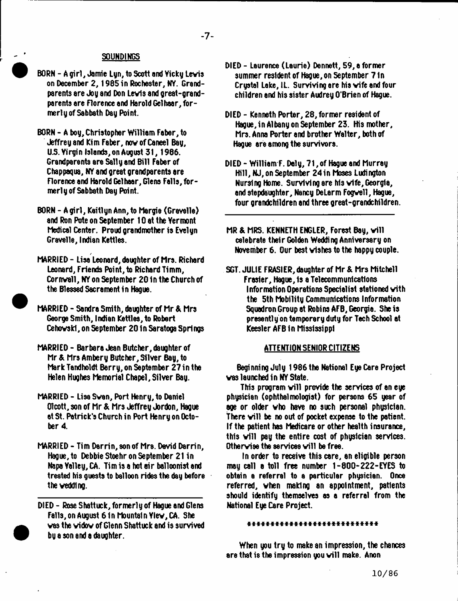### **SOUNDINGS**

- BORN A girl, Jamie Lyn, to Scott and Vicky Levis on December 2, 1985 in Rochester, NY. Grandparents are Joy and Don Levis and great-grandparents are Florence and Harold Gelhaar, formerly of Sabbath Day Point.
- BORN A boy, Christopher William Faber, to Jeffrey and Kim Faber, nov of Caneel Bay, U.S. Yirgin Islands, on August 31, 1986. Grandparents sre Sally and Bill Faber of Chappaqua, NY and great grandparents are Florence and Harold Gel hoar, Glens Falls, formerly of Sabbath Day Point.
- BORN A girl, KeitlynAnn, to Margie (Grevelle) and Ron Pote on September 10 at the Vermont Medical Center. Proud grandmother is Evelyn Gravelle, Indian Kettles.
- MARRIED Lisa Leonard, daughter of Mrs. Richard Leonard, Friends Point, to Richard Timm, Cornvall, NY on September 20 In the Church of the Blessed Sacrament in Hague.
- MARRIED Sandra Smith, daughter of Mr & Mrs George Smith, Indian Kettles, to Robert Cehovskl, on September 20 In Saratoga Springs
- MARRIED Barbara Jean Butcher, daughter of Mr & Mrs Ambery Butcher, Silver Bay, to Mark Tandholdt Berry, on September 27 in the Helen Hughes Memorial Chapel, Silver Bay.
- MARRIED Lisa Swan, Port Henry, to Daniel Olcott, son of Mr & Mrs Jeffrey Jordon, Hague at St. Patrick's Church in Port Henry on October 4.
- MARRIED Tim Darrin, son of Mrs. David Darrin, Hague, to Debbie Stoehr on September 21 in Napa Yalley, CA. Tim is a hot air balloonist and treated his guests to balloon rides the day before the veddlng.
- DIED Rose Shattuck, formerly of Hague and Glens Falls, on August 6 In Mountain Ylev,CA. She vas the vidov of Glenn Shattuck and is survived by a son and a daughter.
- DIED Laurence (Laurie) Dennett, 59, a former summer resident of Hague, on September 7 In Crystal Lake, 1L. Surviving are his vife and four children and his sister Audrey O'Brien of Hague.
- DIED Kenneth Porter, 28, former resident of Hague, in Albany on September 23. His mother, Mrs. Anna Porter and brother Walter, both of Hague are among the survivors.
- DIED William F. Daly, 71, of Hague and Murray Hill, NJ, on September 24in Moses Ludington Nursing Home. Surviving are his vife, Georgia, and stepdaughter, Nancy DeLerm Fogvell, Hague, four grandchildren and three great-grandchildren.
- MR & MRS. KENNETH ENGLER, Forest Bay, will celebrate their Golden Wedding Anniversary on November 6. Our best wishes to the happy couple.
- SGT. JULIE FRASIER, daughter of Mr & Mrs Mitchell Frasier, Hague, Is a Telecommunications Information Operations Specialist stationed vith the 5th Mobility Communications Information Squadron Group at Robins AFB, Georgia. She is presently on temporary duty for Tech School at Keesler AFB In Mississippi

#### ATTENTION SENIOR CITIZENS

Beginning July 1986 the National Eye Care Project vas launched in NY State.

This program will provide the services of an eye physician (ophthalmologist) for persons 65 year of age or older vho have no such personal physician, There will be no out of pocket expense to the patient. If the patient has Medicare or other health insurance, this will pay the entire cost of physician services. Otherwise the services will be free.

In order to receive this care, an eligible person may call a toll free number 1-800-222-EYES to obtain a referral to a particular physician. Once referred, vhen making an appointment, patients should identify themselves as a referral from the National Eye Care Project.

### it\* \* \* \* \* \* \* \* \* \* \* \* \* \* \* \* \* \*

When you try to make an impression, the chances are that is the impression you will make. Anon